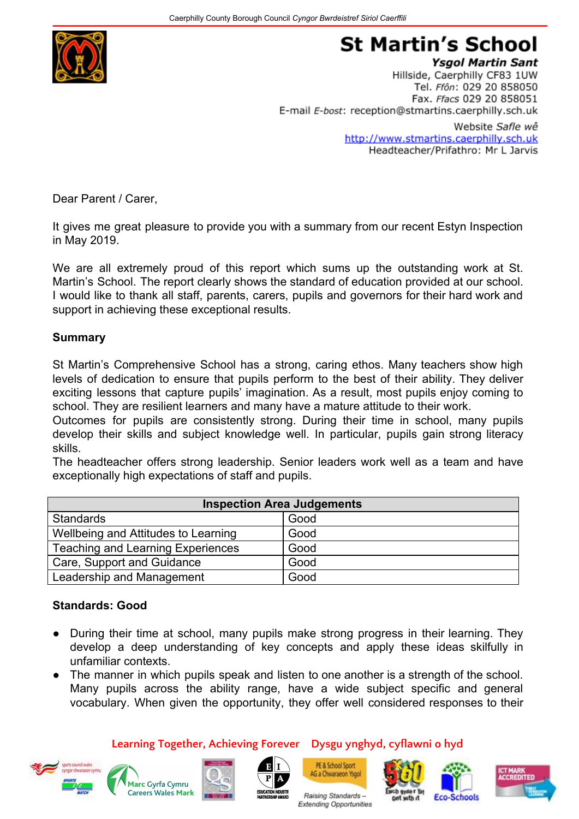

# **St Martin's School**

**Ysgol Martin Sant** Hillside, Caerphilly CF83 1UW Tel. Ffôn: 029 20 858050 Fax. Ffacs 029 20 858051 E-mail E-bost: reception@stmartins.caerphilly.sch.uk

> Website Safle wê http://www.stmartins.caerphilly.sch.uk Headteacher/Prifathro: Mr L Jarvis

Dear Parent / Carer,

It gives me great pleasure to provide you with a summary from our recent Estyn Inspection in May 2019.

We are all extremely proud of this report which sums up the outstanding work at St. Martin's School. The report clearly shows the standard of education provided at our school. I would like to thank all staff, parents, carers, pupils and governors for their hard work and support in achieving these exceptional results.

#### **Summary**

St Martin's Comprehensive School has a strong, caring ethos. Many teachers show high levels of dedication to ensure that pupils perform to the best of their ability. They deliver exciting lessons that capture pupils' imagination. As a result, most pupils enjoy coming to school. They are resilient learners and many have a mature attitude to their work.

Outcomes for pupils are consistently strong. During their time in school, many pupils develop their skills and subject knowledge well. In particular, pupils gain strong literacy skills.

The headteacher offers strong leadership. Senior leaders work well as a team and have exceptionally high expectations of staff and pupils.

| <b>Inspection Area Judgements</b>        |      |
|------------------------------------------|------|
| <b>Standards</b>                         | Good |
| Wellbeing and Attitudes to Learning      | Good |
| <b>Teaching and Learning Experiences</b> | Good |
| Care, Support and Guidance               | Good |
| Leadership and Management                | Good |

#### **Standards: Good**

- During their time at school, many pupils make strong progress in their learning. They develop a deep understanding of key concepts and apply these ideas skilfully in unfamiliar contexts.
- The manner in which pupils speak and listen to one another is a strength of the school. Many pupils across the ability range, have a wide subject specific and general vocabulary. When given the opportunity, they offer well considered responses to their















Raising Standards-

Extending Opportunities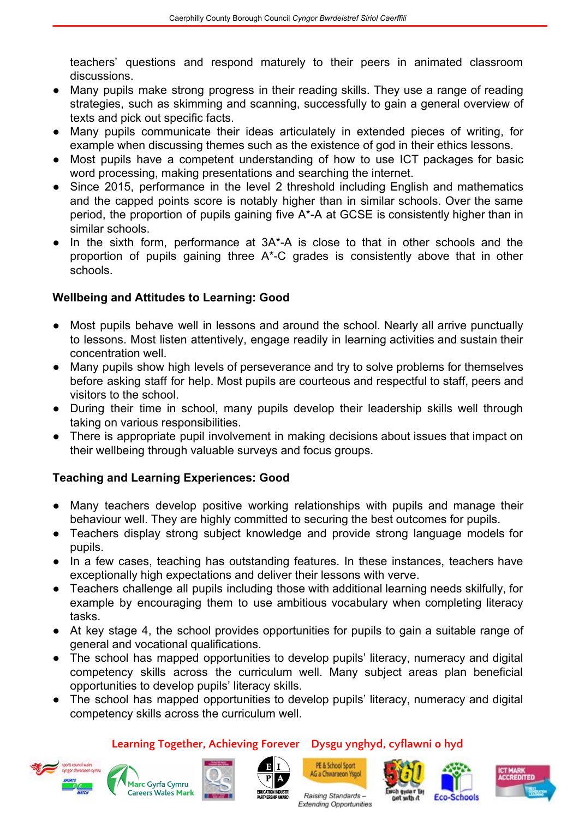teachers' questions and respond maturely to their peers in animated classroom discussions.

- Many pupils make strong progress in their reading skills. They use a range of reading strategies, such as skimming and scanning, successfully to gain a general overview of texts and pick out specific facts.
- Many pupils communicate their ideas articulately in extended pieces of writing, for example when discussing themes such as the existence of god in their ethics lessons.
- Most pupils have a competent understanding of how to use ICT packages for basic word processing, making presentations and searching the internet.
- Since 2015, performance in the level 2 threshold including English and mathematics and the capped points score is notably higher than in similar schools. Over the same period, the proportion of pupils gaining five A\*-A at GCSE is consistently higher than in similar schools.
- In the sixth form, performance at 3A<sup>\*</sup>-A is close to that in other schools and the proportion of pupils gaining three A\*-C grades is consistently above that in other schools.

# **Wellbeing and Attitudes to Learning: Good**

- Most pupils behave well in lessons and around the school. Nearly all arrive punctually to lessons. Most listen attentively, engage readily in learning activities and sustain their concentration well.
- Many pupils show high levels of perseverance and try to solve problems for themselves before asking staff for help. Most pupils are courteous and respectful to staff, peers and visitors to the school.
- During their time in school, many pupils develop their leadership skills well through taking on various responsibilities.
- There is appropriate pupil involvement in making decisions about issues that impact on their wellbeing through valuable surveys and focus groups.

# **Teaching and Learning Experiences: Good**

- Many teachers develop positive working relationships with pupils and manage their behaviour well. They are highly committed to securing the best outcomes for pupils.
- Teachers display strong subject knowledge and provide strong language models for pupils.
- In a few cases, teaching has outstanding features. In these instances, teachers have exceptionally high expectations and deliver their lessons with verve.
- Teachers challenge all pupils including those with additional learning needs skilfully, for example by encouraging them to use ambitious vocabulary when completing literacy tasks.
- At key stage 4, the school provides opportunities for pupils to gain a suitable range of general and vocational qualifications.
- The school has mapped opportunities to develop pupils' literacy, numeracy and digital competency skills across the curriculum well. Many subject areas plan beneficial opportunities to develop pupils' literacy skills.
- The school has mapped opportunities to develop pupils' literacy, numeracy and digital competency skills across the curriculum well.

**Learning Together, Achieving Forever Dysgu ynghyd, cyflawni o hyd**

















Raising Standards-Extending Opportunities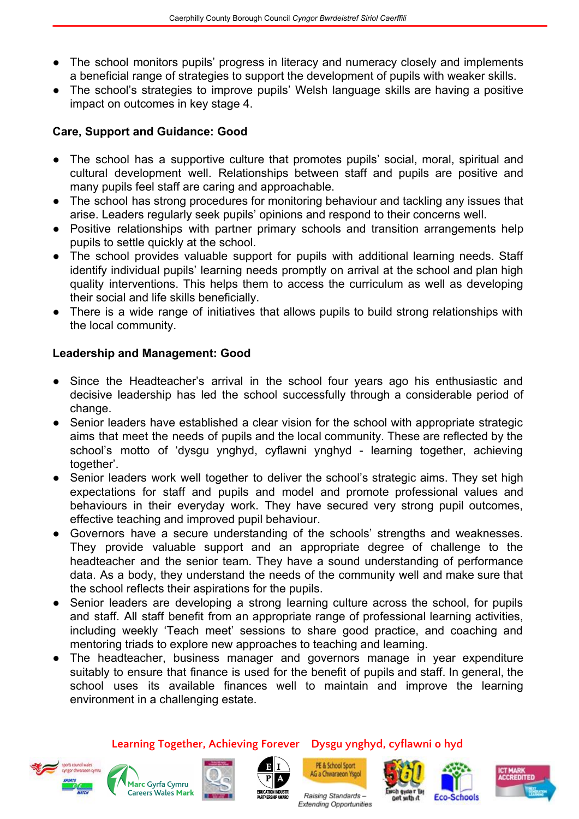- The school monitors pupils' progress in literacy and numeracy closely and implements a beneficial range of strategies to support the development of pupils with weaker skills.
- The school's strategies to improve pupils' Welsh language skills are having a positive impact on outcomes in key stage 4.

#### **Care, Support and Guidance: Good**

- The school has a supportive culture that promotes pupils' social, moral, spiritual and cultural development well. Relationships between staff and pupils are positive and many pupils feel staff are caring and approachable.
- The school has strong procedures for monitoring behaviour and tackling any issues that arise. Leaders regularly seek pupils' opinions and respond to their concerns well.
- Positive relationships with partner primary schools and transition arrangements help pupils to settle quickly at the school.
- The school provides valuable support for pupils with additional learning needs. Staff identify individual pupils' learning needs promptly on arrival at the school and plan high quality interventions. This helps them to access the curriculum as well as developing their social and life skills beneficially.
- There is a wide range of initiatives that allows pupils to build strong relationships with the local community.

# **Leadership and Management: Good**

- Since the Headteacher's arrival in the school four years ago his enthusiastic and decisive leadership has led the school successfully through a considerable period of change.
- Senior leaders have established a clear vision for the school with appropriate strategic aims that meet the needs of pupils and the local community. These are reflected by the school's motto of 'dysgu ynghyd, cyflawni ynghyd - learning together, achieving together'.
- Senior leaders work well together to deliver the school's strategic aims. They set high expectations for staff and pupils and model and promote professional values and behaviours in their everyday work. They have secured very strong pupil outcomes, effective teaching and improved pupil behaviour.
- Governors have a secure understanding of the schools' strengths and weaknesses. They provide valuable support and an appropriate degree of challenge to the headteacher and the senior team. They have a sound understanding of performance data. As a body, they understand the needs of the community well and make sure that the school reflects their aspirations for the pupils.
- Senior leaders are developing a strong learning culture across the school, for pupils and staff. All staff benefit from an appropriate range of professional learning activities, including weekly 'Teach meet' sessions to share good practice, and coaching and mentoring triads to explore new approaches to teaching and learning.
- The headteacher, business manager and governors manage in year expenditure suitably to ensure that finance is used for the benefit of pupils and staff. In general, the school uses its available finances well to maintain and improve the learning environment in a challenging estate.

















Raising Standards-Extending Opportunities